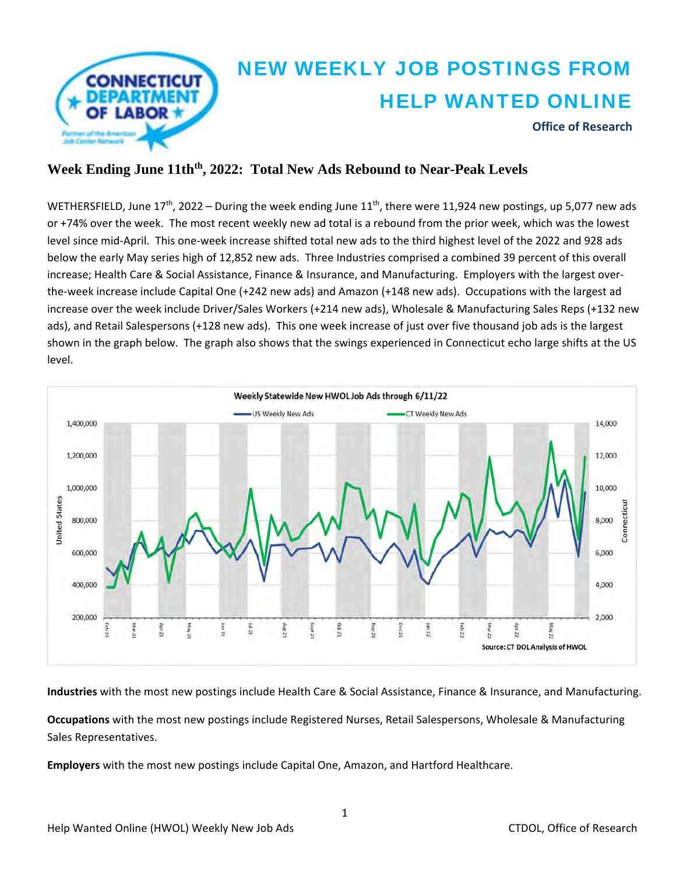

## **Week Ending June 11thth, 2022: Total New Ads Rebound to Near-Peak Levels**

WETHERSFIELD, June  $17^{th}$ , 2022 – During the week ending June  $11^{th}$ , there were 11,924 new postings, up 5,077 new ads or +74% over the week. The most recent weekly new ad total is a rebound from the prior week, which was the lowest level since mid‐April. This one‐week increase shifted total new ads to the third highest level of the 2022 and 928 ads below the early May series high of 12,852 new ads. Three Industries comprised a combined 39 percent of this overall increase; Health Care & Social Assistance, Finance & Insurance, and Manufacturing. Employers with the largest over‐ the‐week increase include Capital One (+242 new ads) and Amazon (+148 new ads). Occupations with the largest ad increase over the week include Driver/Sales Workers (+214 new ads), Wholesale & Manufacturing Sales Reps (+132 new ads), and Retail Salespersons (+128 new ads). This one week increase of just over five thousand job ads is the largest shown in the graph below. The graph also shows that the swings experienced in Connecticut echo large shifts at the US level.



**Industries** with the most new postings include Health Care & Social Assistance, Finance & Insurance, and Manufacturing.

**Occupations** with the most new postings include Registered Nurses, Retail Salespersons, Wholesale & Manufacturing Sales Representatives.

**Employers** with the most new postings include Capital One, Amazon, and Hartford Healthcare.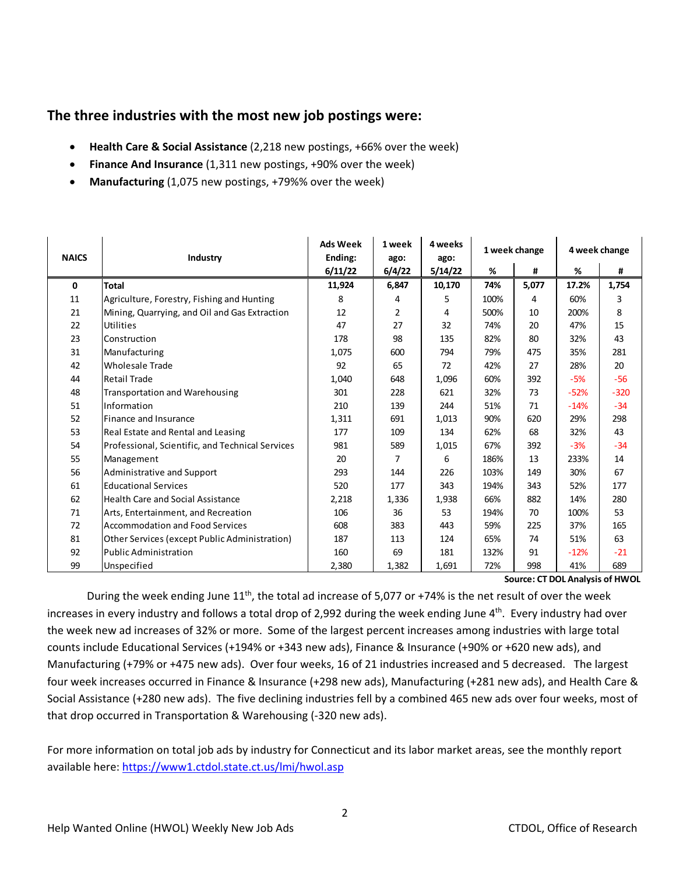### **The three industries with the most new job postings were:**

- **Health Care & Social Assistance** (2,218 new postings, +66% over the week)
- **Finance And Insurance** (1,311 new postings, +90% over the week)
- **Manufacturing** (1,075 new postings, +79%% over the week)

| <b>NAICS</b> | Industry                                         | <b>Ads Week</b><br>1 week<br>Ending:<br>ago: |        | 4 weeks<br>ago: | 1 week change |       | 4 week change |        |
|--------------|--------------------------------------------------|----------------------------------------------|--------|-----------------|---------------|-------|---------------|--------|
|              |                                                  | 6/11/22                                      | 6/4/22 | 5/14/22         | %             | #     | %             | #      |
| 0            | Total                                            | 11,924                                       | 6,847  | 10,170          | 74%           | 5,077 | 17.2%         | 1,754  |
| 11           | Agriculture, Forestry, Fishing and Hunting       | 8                                            | 4      | 5               | 100%          | 4     | 60%           | 3      |
| 21           | Mining, Quarrying, and Oil and Gas Extraction    | 12                                           | 2      | 4               | 500%          | 10    | 200%          | 8      |
| 22           | Utilities                                        | 47                                           | 27     | 32              | 74%           | 20    | 47%           | 15     |
| 23           | Construction                                     | 178                                          | 98     | 135             | 82%           | 80    | 32%           | 43     |
| 31           | Manufacturing                                    | 1,075                                        | 600    | 794             | 79%           | 475   | 35%           | 281    |
| 42           | <b>Wholesale Trade</b>                           | 92                                           | 65     | 72              | 42%           | 27    | 28%           | 20     |
| 44           | <b>Retail Trade</b>                              | 1,040                                        | 648    | 1,096           | 60%           | 392   | $-5%$         | $-56$  |
| 48           | <b>Transportation and Warehousing</b>            | 301                                          | 228    | 621             | 32%           | 73    | $-52%$        | $-320$ |
| 51           | Information                                      | 210                                          | 139    | 244             | 51%           | 71    | $-14%$        | $-34$  |
| 52           | Finance and Insurance                            | 1,311                                        | 691    | 1,013           | 90%           | 620   | 29%           | 298    |
| 53           | Real Estate and Rental and Leasing               | 177                                          | 109    | 134             | 62%           | 68    | 32%           | 43     |
| 54           | Professional, Scientific, and Technical Services | 981                                          | 589    | 1,015           | 67%           | 392   | $-3%$         | $-34$  |
| 55           | Management                                       | 20                                           | 7      | 6               | 186%          | 13    | 233%          | 14     |
| 56           | Administrative and Support                       | 293                                          | 144    | 226             | 103%          | 149   | 30%           | 67     |
| 61           | <b>Educational Services</b>                      | 520                                          | 177    | 343             | 194%          | 343   | 52%           | 177    |
| 62           | <b>Health Care and Social Assistance</b>         | 2,218                                        | 1,336  | 1,938           | 66%           | 882   | 14%           | 280    |
| 71           | Arts, Entertainment, and Recreation              | 106                                          | 36     | 53              | 194%          | 70    | 100%          | 53     |
| 72           | <b>Accommodation and Food Services</b>           | 608                                          | 383    | 443             | 59%           | 225   | 37%           | 165    |
| 81           | Other Services (except Public Administration)    | 187                                          | 113    | 124             | 65%           | 74    | 51%           | 63     |
| 92           | <b>Public Administration</b>                     | 160                                          | 69     | 181             | 132%          | 91    | $-12%$        | $-21$  |
| 99           | Unspecified                                      | 2,380                                        | 1,382  | 1,691           | 72%           | 998   | 41%           | 689    |

**Source: CT DOL Analysis of HWOL**

During the week ending June 11<sup>th</sup>, the total ad increase of 5,077 or +74% is the net result of over the week increases in every industry and follows a total drop of 2,992 during the week ending June 4<sup>th</sup>. Every industry had over the week new ad increases of 32% or more. Some of the largest percent increases among industries with large total counts include Educational Services (+194% or +343 new ads), Finance & Insurance (+90% or +620 new ads), and Manufacturing (+79% or +475 new ads). Over four weeks, 16 of 21 industries increased and 5 decreased. The largest four week increases occurred in Finance & Insurance (+298 new ads), Manufacturing (+281 new ads), and Health Care & Social Assistance (+280 new ads). The five declining industries fell by a combined 465 new ads over four weeks, most of that drop occurred in Transportation & Warehousing (‐320 new ads).

For more information on total job ads by industry for Connecticut and its labor market areas, see the monthly report available here: https://www1.ctdol.state.ct.us/lmi/hwol.asp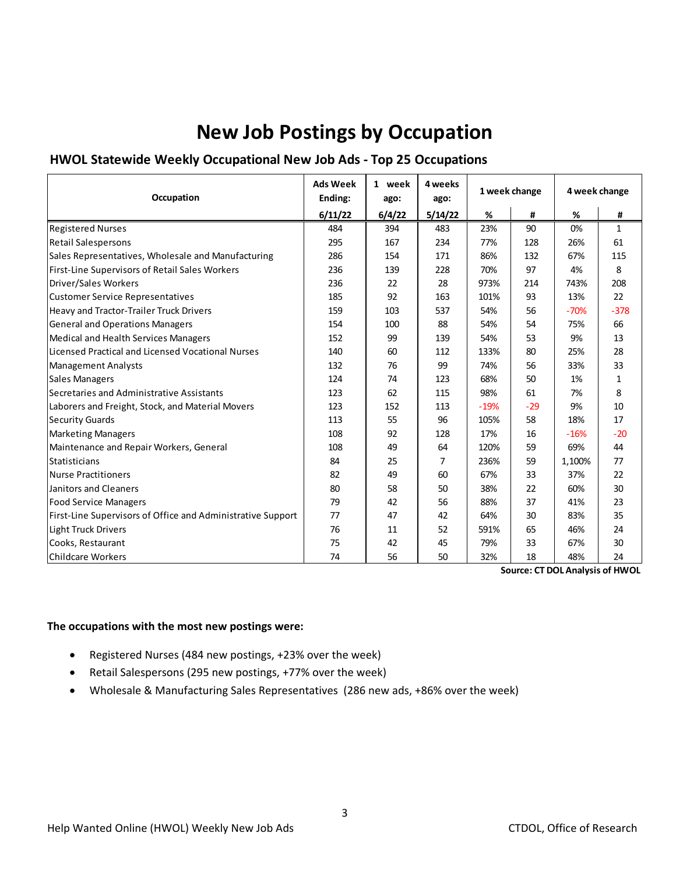# **New Job Postings by Occupation**

### **HWOL Statewide Weekly Occupational New Job Ads ‐ Top 25 Occupations**

| Occupation                                                  | <b>Ads Week</b><br>Ending: | 1 week<br>ago: | 4 weeks<br>ago: | 1 week change |       | 4 week change |              |
|-------------------------------------------------------------|----------------------------|----------------|-----------------|---------------|-------|---------------|--------------|
|                                                             | 6/11/22                    | 6/4/22         | 5/14/22         | %             | #     | %             | #            |
| <b>Registered Nurses</b>                                    | 484                        | 394            | 483             | 23%           | 90    | 0%            | $\mathbf{1}$ |
| <b>Retail Salespersons</b>                                  | 295                        | 167            | 234             | 77%           | 128   | 26%           | 61           |
| Sales Representatives, Wholesale and Manufacturing          | 286                        | 154            | 171             | 86%           | 132   | 67%           | 115          |
| First-Line Supervisors of Retail Sales Workers              | 236                        | 139            | 228             | 70%           | 97    | 4%            | 8            |
| Driver/Sales Workers                                        | 236                        | 22             | 28              | 973%          | 214   | 743%          | 208          |
| <b>Customer Service Representatives</b>                     | 185                        | 92             | 163             | 101%          | 93    | 13%           | 22           |
| Heavy and Tractor-Trailer Truck Drivers                     | 159                        | 103            | 537             | 54%           | 56    | $-70%$        | $-378$       |
| <b>General and Operations Managers</b>                      | 154                        | 100            | 88              | 54%           | 54    | 75%           | 66           |
| Medical and Health Services Managers                        | 152                        | 99             | 139             | 54%           | 53    | 9%            | 13           |
| Licensed Practical and Licensed Vocational Nurses           | 140                        | 60             | 112             | 133%          | 80    | 25%           | 28           |
| <b>Management Analysts</b>                                  | 132                        | 76             | 99              | 74%           | 56    | 33%           | 33           |
| <b>Sales Managers</b>                                       | 124                        | 74             | 123             | 68%           | 50    | 1%            | $\mathbf{1}$ |
| Secretaries and Administrative Assistants                   | 123                        | 62             | 115             | 98%           | 61    | 7%            | 8            |
| Laborers and Freight, Stock, and Material Movers            | 123                        | 152            | 113             | $-19%$        | $-29$ | 9%            | 10           |
| <b>Security Guards</b>                                      | 113                        | 55             | 96              | 105%          | 58    | 18%           | 17           |
| <b>Marketing Managers</b>                                   | 108                        | 92             | 128             | 17%           | 16    | $-16%$        | $-20$        |
| Maintenance and Repair Workers, General                     | 108                        | 49             | 64              | 120%          | 59    | 69%           | 44           |
| Statisticians                                               | 84                         | 25             | 7               | 236%          | 59    | 1,100%        | 77           |
| <b>Nurse Practitioners</b>                                  | 82                         | 49             | 60              | 67%           | 33    | 37%           | 22           |
| Janitors and Cleaners                                       | 80                         | 58             | 50              | 38%           | 22    | 60%           | 30           |
| <b>Food Service Managers</b>                                | 79                         | 42             | 56              | 88%           | 37    | 41%           | 23           |
| First-Line Supervisors of Office and Administrative Support | 77                         | 47             | 42              | 64%           | 30    | 83%           | 35           |
| Light Truck Drivers                                         | 76                         | 11             | 52              | 591%          | 65    | 46%           | 24           |
| Cooks, Restaurant                                           | 75                         | 42             | 45              | 79%           | 33    | 67%           | 30           |
| Childcare Workers                                           | 74                         | 56             | 50              | 32%           | 18    | 48%           | 24           |

**Source: CT DOL Analysis of HWOL**

#### **The occupations with the most new postings were:**

- Registered Nurses (484 new postings, +23% over the week)
- Retail Salespersons (295 new postings, +77% over the week)
- Wholesale & Manufacturing Sales Representatives (286 new ads, +86% over the week)